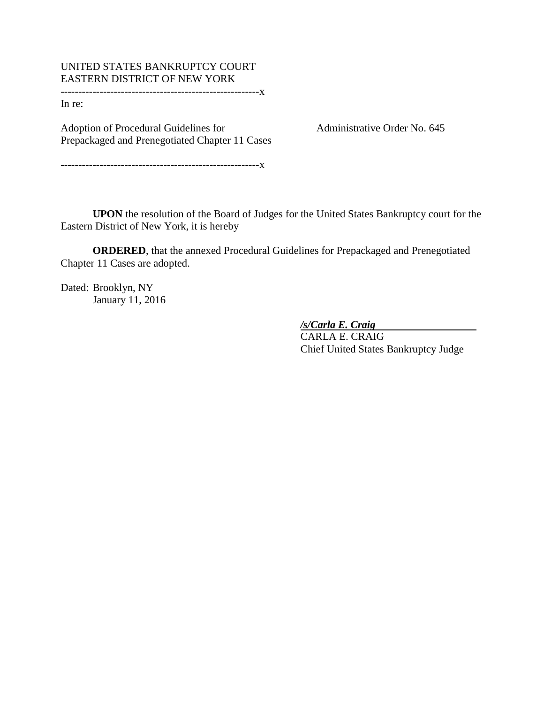# UNITED STATES BANKRUPTCY COURT EASTERN DISTRICT OF NEW YORK

--------------------------------------------------------x

In re:

Adoption of Procedural Guidelines for Administrative Order No. 645 Prepackaged and Prenegotiated Chapter 11 Cases

--------------------------------------------------------x

**UPON** the resolution of the Board of Judges for the United States Bankruptcy court for the Eastern District of New York, it is hereby

**ORDERED**, that the annexed Procedural Guidelines for Prepackaged and Prenegotiated Chapter 11 Cases are adopted.

Dated: Brooklyn, NY January 11, 2016

*/s/Carla E. Craig*

CARLA E. CRAIG Chief United States Bankruptcy Judge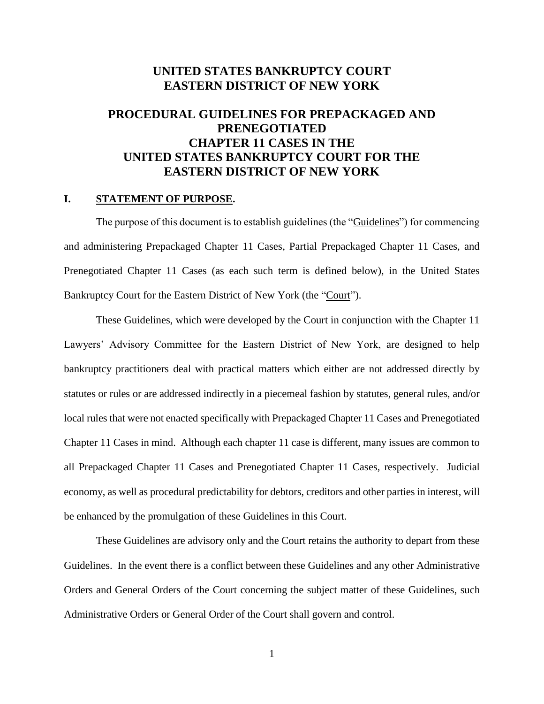# **UNITED STATES BANKRUPTCY COURT EASTERN DISTRICT OF NEW YORK**

# **PROCEDURAL GUIDELINES FOR PREPACKAGED AND PRENEGOTIATED CHAPTER 11 CASES IN THE UNITED STATES BANKRUPTCY COURT FOR THE EASTERN DISTRICT OF NEW YORK**

## **I. STATEMENT OF PURPOSE.**

The purpose of this document is to establish guidelines (the "Guidelines") for commencing and administering Prepackaged Chapter 11 Cases, Partial Prepackaged Chapter 11 Cases, and Prenegotiated Chapter 11 Cases (as each such term is defined below), in the United States Bankruptcy Court for the Eastern District of New York (the "Court").

These Guidelines, which were developed by the Court in conjunction with the Chapter 11 Lawyers' Advisory Committee for the Eastern District of New York, are designed to help bankruptcy practitioners deal with practical matters which either are not addressed directly by statutes or rules or are addressed indirectly in a piecemeal fashion by statutes, general rules, and/or local rules that were not enacted specifically with Prepackaged Chapter 11 Cases and Prenegotiated Chapter 11 Cases in mind. Although each chapter 11 case is different, many issues are common to all Prepackaged Chapter 11 Cases and Prenegotiated Chapter 11 Cases, respectively. Judicial economy, as well as procedural predictability for debtors, creditors and other parties in interest, will be enhanced by the promulgation of these Guidelines in this Court.

These Guidelines are advisory only and the Court retains the authority to depart from these Guidelines. In the event there is a conflict between these Guidelines and any other Administrative Orders and General Orders of the Court concerning the subject matter of these Guidelines, such Administrative Orders or General Order of the Court shall govern and control.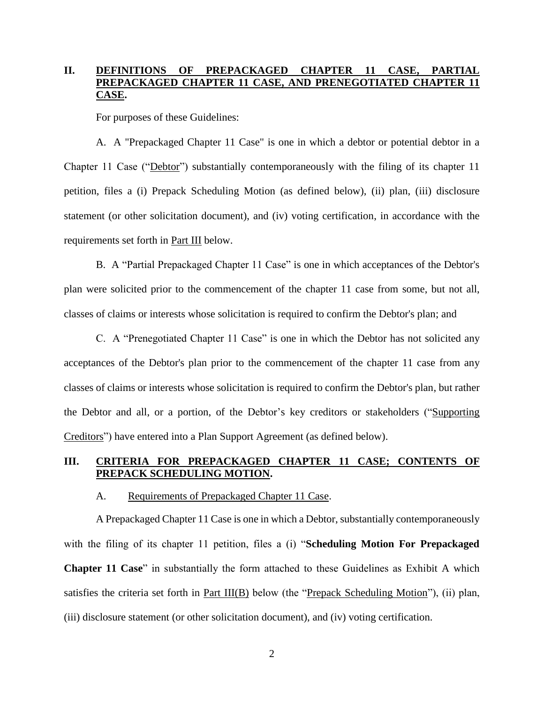# **II. DEFINITIONS OF PREPACKAGED CHAPTER 11 CASE, PARTIAL PREPACKAGED CHAPTER 11 CASE, AND PRENEGOTIATED CHAPTER 11 CASE.**

For purposes of these Guidelines:

A. A "Prepackaged Chapter 11 Case" is one in which a debtor or potential debtor in a Chapter 11 Case ("Debtor") substantially contemporaneously with the filing of its chapter 11 petition, files a (i) Prepack Scheduling Motion (as defined below), (ii) plan, (iii) disclosure statement (or other solicitation document), and (iv) voting certification, in accordance with the requirements set forth in Part III below.

B. A "Partial Prepackaged Chapter 11 Case" is one in which acceptances of the Debtor's plan were solicited prior to the commencement of the chapter 11 case from some, but not all, classes of claims or interests whose solicitation is required to confirm the Debtor's plan; and

C. A "Prenegotiated Chapter 11 Case" is one in which the Debtor has not solicited any acceptances of the Debtor's plan prior to the commencement of the chapter 11 case from any classes of claims or interests whose solicitation is required to confirm the Debtor's plan, but rather the Debtor and all, or a portion, of the Debtor's key creditors or stakeholders ("Supporting Creditors") have entered into a Plan Support Agreement (as defined below).

# **III. CRITERIA FOR PREPACKAGED CHAPTER 11 CASE; CONTENTS OF PREPACK SCHEDULING MOTION.**

## A. Requirements of Prepackaged Chapter 11 Case.

A Prepackaged Chapter 11 Case is one in which a Debtor, substantially contemporaneously with the filing of its chapter 11 petition, files a (i) "**Scheduling Motion For Prepackaged Chapter 11 Case**" in substantially the form attached to these Guidelines as Exhibit A which satisfies the criteria set forth in Part III(B) below (the "Prepack Scheduling Motion"), (ii) plan, (iii) disclosure statement (or other solicitation document), and (iv) voting certification.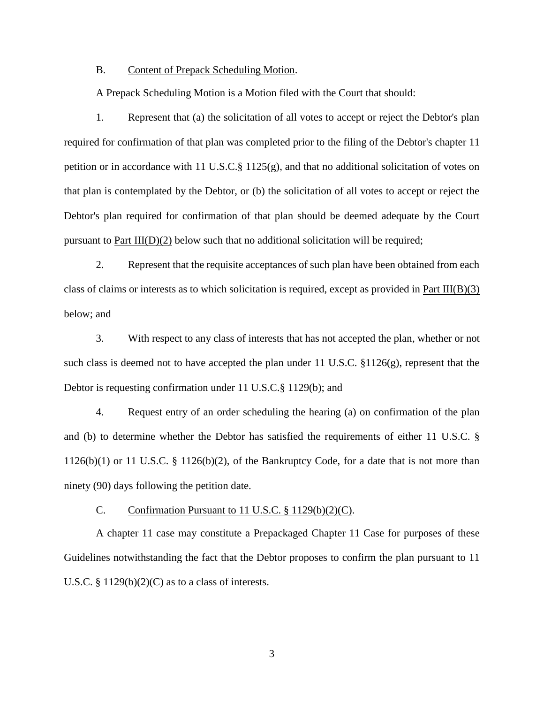B. Content of Prepack Scheduling Motion.

A Prepack Scheduling Motion is a Motion filed with the Court that should:

1. Represent that (a) the solicitation of all votes to accept or reject the Debtor's plan required for confirmation of that plan was completed prior to the filing of the Debtor's chapter 11 petition or in accordance with 11 U.S.C.§ 1125(g), and that no additional solicitation of votes on that plan is contemplated by the Debtor, or (b) the solicitation of all votes to accept or reject the Debtor's plan required for confirmation of that plan should be deemed adequate by the Court pursuant to Part III(D)(2) below such that no additional solicitation will be required;

2. Represent that the requisite acceptances of such plan have been obtained from each class of claims or interests as to which solicitation is required, except as provided in Part  $III(B)(3)$ below; and

3. With respect to any class of interests that has not accepted the plan, whether or not such class is deemed not to have accepted the plan under 11 U.S.C. §1126(g), represent that the Debtor is requesting confirmation under 11 U.S.C.§ 1129(b); and

4. Request entry of an order scheduling the hearing (a) on confirmation of the plan and (b) to determine whether the Debtor has satisfied the requirements of either 11 U.S.C. § 1126(b)(1) or 11 U.S.C. § 1126(b)(2), of the Bankruptcy Code, for a date that is not more than ninety (90) days following the petition date.

C. Confirmation Pursuant to 11 U.S.C.  $\S$  1129(b)(2)(C).

A chapter 11 case may constitute a Prepackaged Chapter 11 Case for purposes of these Guidelines notwithstanding the fact that the Debtor proposes to confirm the plan pursuant to 11 U.S.C.  $\S$  1129(b)(2)(C) as to a class of interests.

3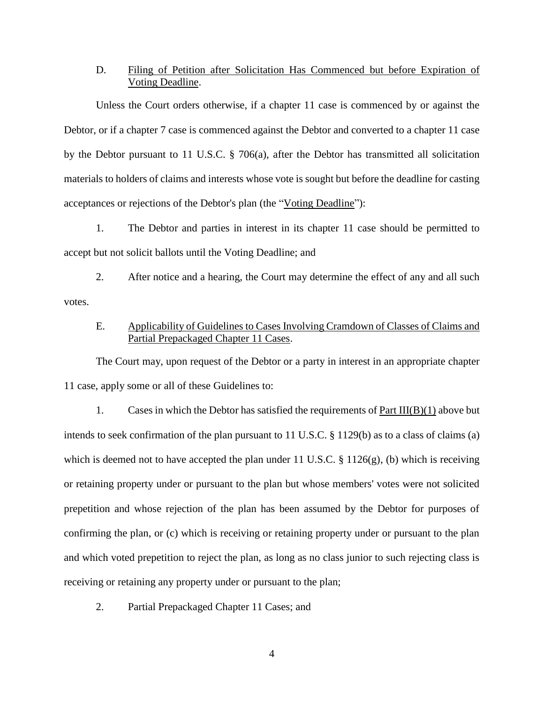## D. Filing of Petition after Solicitation Has Commenced but before Expiration of Voting Deadline.

Unless the Court orders otherwise, if a chapter 11 case is commenced by or against the Debtor, or if a chapter 7 case is commenced against the Debtor and converted to a chapter 11 case by the Debtor pursuant to 11 U.S.C. § 706(a), after the Debtor has transmitted all solicitation materials to holders of claims and interests whose vote is sought but before the deadline for casting acceptances or rejections of the Debtor's plan (the "Voting Deadline"):

1. The Debtor and parties in interest in its chapter 11 case should be permitted to accept but not solicit ballots until the Voting Deadline; and

2. After notice and a hearing, the Court may determine the effect of any and all such votes.

# E. Applicability of Guidelines to Cases Involving Cramdown of Classes of Claims and Partial Prepackaged Chapter 11 Cases.

The Court may, upon request of the Debtor or a party in interest in an appropriate chapter 11 case, apply some or all of these Guidelines to:

1. Cases in which the Debtor has satisfied the requirements of  $Part III(B)(1)$  above but intends to seek confirmation of the plan pursuant to 11 U.S.C. § 1129(b) as to a class of claims (a) which is deemed not to have accepted the plan under 11 U.S.C.  $\S$  1126(g), (b) which is receiving or retaining property under or pursuant to the plan but whose members' votes were not solicited prepetition and whose rejection of the plan has been assumed by the Debtor for purposes of confirming the plan, or (c) which is receiving or retaining property under or pursuant to the plan and which voted prepetition to reject the plan, as long as no class junior to such rejecting class is receiving or retaining any property under or pursuant to the plan;

2. Partial Prepackaged Chapter 11 Cases; and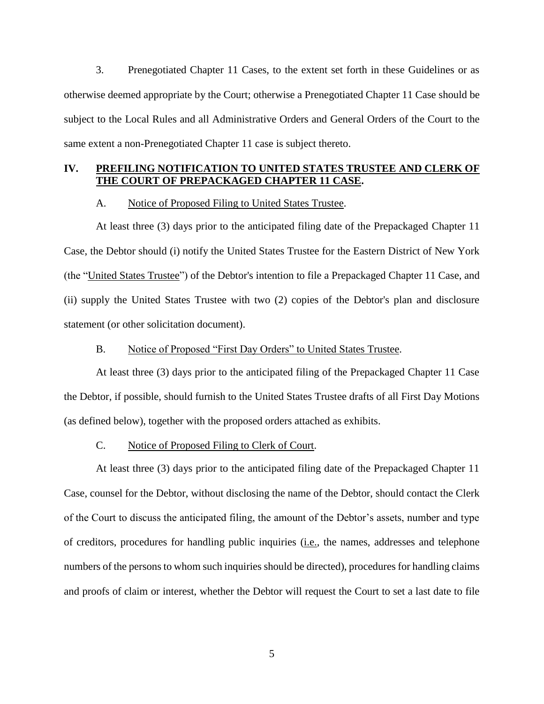3. Prenegotiated Chapter 11 Cases, to the extent set forth in these Guidelines or as otherwise deemed appropriate by the Court; otherwise a Prenegotiated Chapter 11 Case should be subject to the Local Rules and all Administrative Orders and General Orders of the Court to the same extent a non-Prenegotiated Chapter 11 case is subject thereto.

# **IV. PREFILING NOTIFICATION TO UNITED STATES TRUSTEE AND CLERK OF THE COURT OF PREPACKAGED CHAPTER 11 CASE.**

## A. Notice of Proposed Filing to United States Trustee.

At least three (3) days prior to the anticipated filing date of the Prepackaged Chapter 11 Case, the Debtor should (i) notify the United States Trustee for the Eastern District of New York (the "United States Trustee") of the Debtor's intention to file a Prepackaged Chapter 11 Case, and (ii) supply the United States Trustee with two (2) copies of the Debtor's plan and disclosure statement (or other solicitation document).

## B. Notice of Proposed "First Day Orders" to United States Trustee.

At least three (3) days prior to the anticipated filing of the Prepackaged Chapter 11 Case the Debtor, if possible, should furnish to the United States Trustee drafts of all First Day Motions (as defined below), together with the proposed orders attached as exhibits.

## C. Notice of Proposed Filing to Clerk of Court.

At least three (3) days prior to the anticipated filing date of the Prepackaged Chapter 11 Case, counsel for the Debtor, without disclosing the name of the Debtor, should contact the Clerk of the Court to discuss the anticipated filing, the amount of the Debtor's assets, number and type of creditors, procedures for handling public inquiries (i.e., the names, addresses and telephone numbers of the persons to whom such inquiries should be directed), procedures for handling claims and proofs of claim or interest, whether the Debtor will request the Court to set a last date to file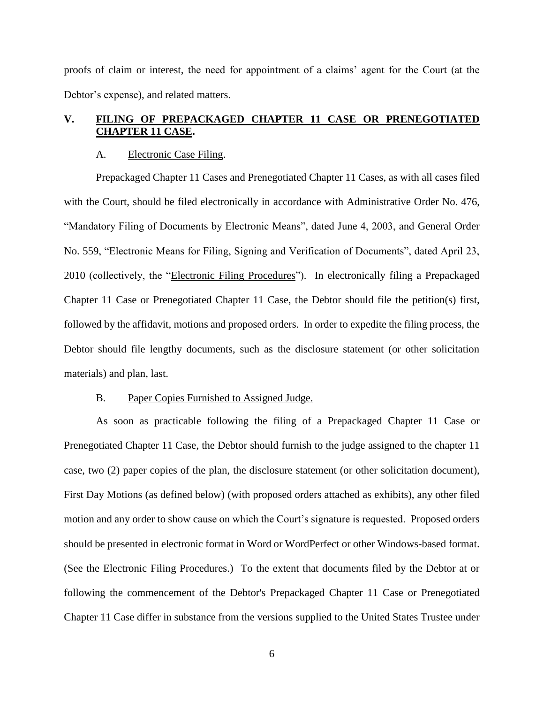proofs of claim or interest, the need for appointment of a claims' agent for the Court (at the Debtor's expense), and related matters.

# **V. FILING OF PREPACKAGED CHAPTER 11 CASE OR PRENEGOTIATED CHAPTER 11 CASE.**

### A. Electronic Case Filing.

Prepackaged Chapter 11 Cases and Prenegotiated Chapter 11 Cases, as with all cases filed with the Court, should be filed electronically in accordance with Administrative Order No. 476, "Mandatory Filing of Documents by Electronic Means", dated June 4, 2003, and General Order No. 559, "Electronic Means for Filing, Signing and Verification of Documents", dated April 23, 2010 (collectively, the "Electronic Filing Procedures"). In electronically filing a Prepackaged Chapter 11 Case or Prenegotiated Chapter 11 Case, the Debtor should file the petition(s) first, followed by the affidavit, motions and proposed orders. In order to expedite the filing process, the Debtor should file lengthy documents, such as the disclosure statement (or other solicitation materials) and plan, last.

## B. Paper Copies Furnished to Assigned Judge.

As soon as practicable following the filing of a Prepackaged Chapter 11 Case or Prenegotiated Chapter 11 Case, the Debtor should furnish to the judge assigned to the chapter 11 case, two (2) paper copies of the plan, the disclosure statement (or other solicitation document), First Day Motions (as defined below) (with proposed orders attached as exhibits), any other filed motion and any order to show cause on which the Court's signature is requested. Proposed orders should be presented in electronic format in Word or WordPerfect or other Windows-based format. (See the Electronic Filing Procedures.) To the extent that documents filed by the Debtor at or following the commencement of the Debtor's Prepackaged Chapter 11 Case or Prenegotiated Chapter 11 Case differ in substance from the versions supplied to the United States Trustee under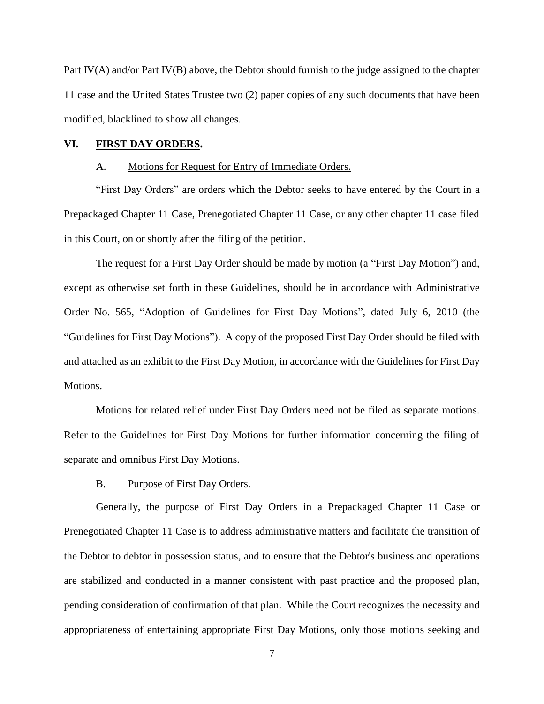Part IV(A) and/or Part IV(B) above, the Debtor should furnish to the judge assigned to the chapter 11 case and the United States Trustee two (2) paper copies of any such documents that have been modified, blacklined to show all changes.

### **VI. FIRST DAY ORDERS.**

## A. Motions for Request for Entry of Immediate Orders.

"First Day Orders" are orders which the Debtor seeks to have entered by the Court in a Prepackaged Chapter 11 Case, Prenegotiated Chapter 11 Case, or any other chapter 11 case filed in this Court, on or shortly after the filing of the petition.

The request for a First Day Order should be made by motion (a "First Day Motion") and, except as otherwise set forth in these Guidelines, should be in accordance with Administrative Order No. 565, "Adoption of Guidelines for First Day Motions", dated July 6, 2010 (the "Guidelines for First Day Motions"). A copy of the proposed First Day Order should be filed with and attached as an exhibit to the First Day Motion, in accordance with the Guidelines for First Day Motions.

Motions for related relief under First Day Orders need not be filed as separate motions. Refer to the Guidelines for First Day Motions for further information concerning the filing of separate and omnibus First Day Motions.

## B. Purpose of First Day Orders.

Generally, the purpose of First Day Orders in a Prepackaged Chapter 11 Case or Prenegotiated Chapter 11 Case is to address administrative matters and facilitate the transition of the Debtor to debtor in possession status, and to ensure that the Debtor's business and operations are stabilized and conducted in a manner consistent with past practice and the proposed plan, pending consideration of confirmation of that plan. While the Court recognizes the necessity and appropriateness of entertaining appropriate First Day Motions, only those motions seeking and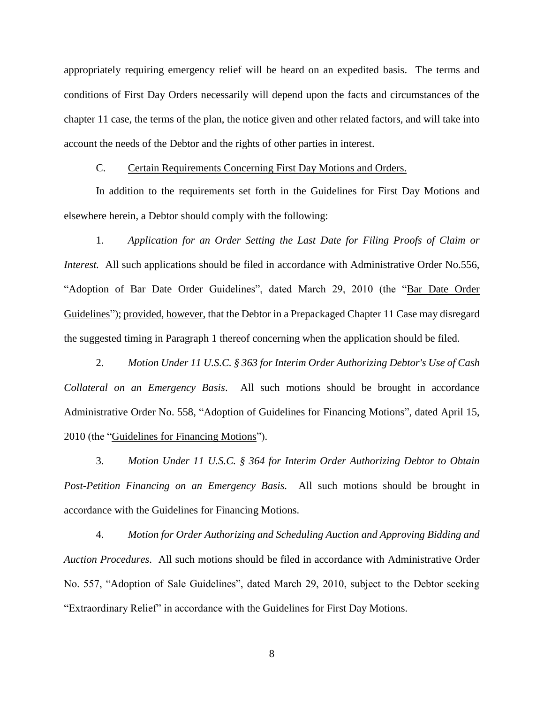appropriately requiring emergency relief will be heard on an expedited basis. The terms and conditions of First Day Orders necessarily will depend upon the facts and circumstances of the chapter 11 case, the terms of the plan, the notice given and other related factors, and will take into account the needs of the Debtor and the rights of other parties in interest.

## C. Certain Requirements Concerning First Day Motions and Orders.

In addition to the requirements set forth in the Guidelines for First Day Motions and elsewhere herein, a Debtor should comply with the following:

1. *Application for an Order Setting the Last Date for Filing Proofs of Claim or Interest.* All such applications should be filed in accordance with Administrative Order No.556, "Adoption of Bar Date Order Guidelines", dated March 29, 2010 (the "Bar Date Order Guidelines"); provided, however, that the Debtor in a Prepackaged Chapter 11 Case may disregard the suggested timing in Paragraph 1 thereof concerning when the application should be filed.

2. *Motion Under 11 U.S.C. § 363 for Interim Order Authorizing Debtor's Use of Cash Collateral on an Emergency Basis*. All such motions should be brought in accordance Administrative Order No. 558, "Adoption of Guidelines for Financing Motions", dated April 15, 2010 (the "Guidelines for Financing Motions").

3. *Motion Under 11 U.S.C. § 364 for Interim Order Authorizing Debtor to Obtain Post-Petition Financing on an Emergency Basis.* All such motions should be brought in accordance with the Guidelines for Financing Motions.

4. *Motion for Order Authorizing and Scheduling Auction and Approving Bidding and Auction Procedures*. All such motions should be filed in accordance with Administrative Order No. 557, "Adoption of Sale Guidelines", dated March 29, 2010, subject to the Debtor seeking "Extraordinary Relief" in accordance with the Guidelines for First Day Motions.

8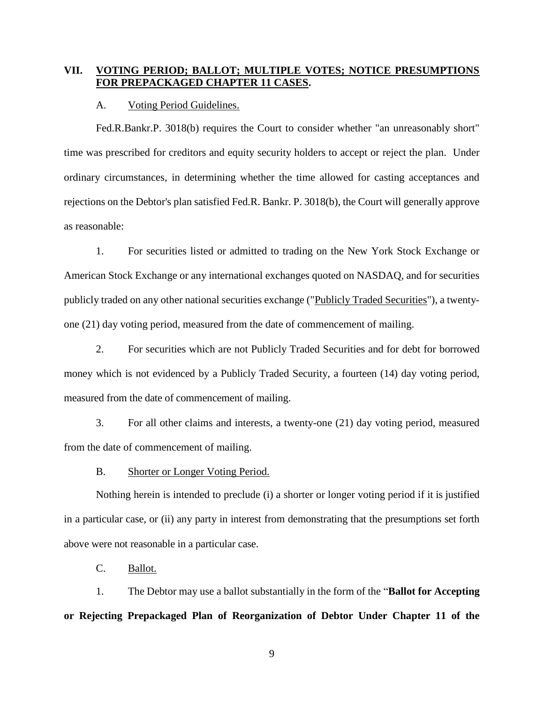## **VII. VOTING PERIOD; BALLOT; MULTIPLE VOTES; NOTICE PRESUMPTIONS FOR PREPACKAGED CHAPTER 11 CASES.**

### A. Voting Period Guidelines.

Fed.R.Bankr.P. 3018(b) requires the Court to consider whether "an unreasonably short" time was prescribed for creditors and equity security holders to accept or reject the plan. Under ordinary circumstances, in determining whether the time allowed for casting acceptances and rejections on the Debtor's plan satisfied Fed.R. Bankr. P. 3018(b), the Court will generally approve as reasonable:

1. For securities listed or admitted to trading on the New York Stock Exchange or American Stock Exchange or any international exchanges quoted on NASDAQ, and for securities publicly traded on any other national securities exchange ("Publicly Traded Securities"), a twentyone (21) day voting period, measured from the date of commencement of mailing.

2. For securities which are not Publicly Traded Securities and for debt for borrowed money which is not evidenced by a Publicly Traded Security, a fourteen (14) day voting period, measured from the date of commencement of mailing.

3. For all other claims and interests, a twenty-one (21) day voting period, measured from the date of commencement of mailing.

## B. Shorter or Longer Voting Period.

Nothing herein is intended to preclude (i) a shorter or longer voting period if it is justified in a particular case, or (ii) any party in interest from demonstrating that the presumptions set forth above were not reasonable in a particular case.

C. Ballot.

1. The Debtor may use a ballot substantially in the form of the "**Ballot for Accepting or Rejecting Prepackaged Plan of Reorganization of Debtor Under Chapter 11 of the**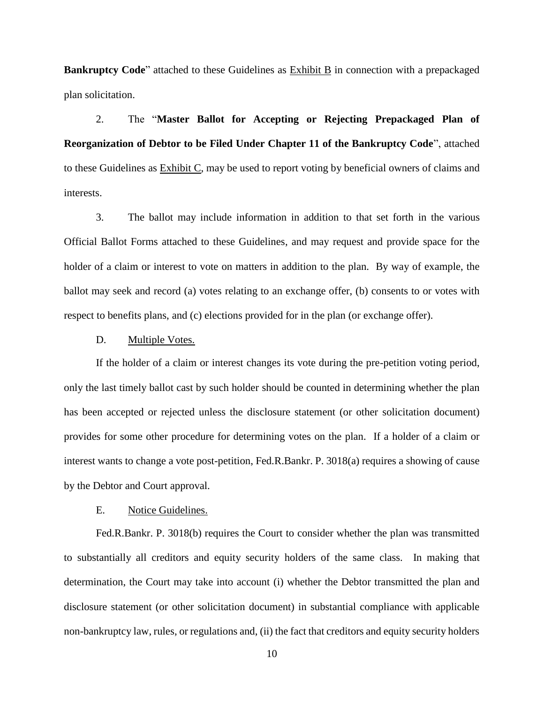**Bankruptcy Code**" attached to these Guidelines as Exhibit B in connection with a prepackaged plan solicitation.

2. The "**Master Ballot for Accepting or Rejecting Prepackaged Plan of Reorganization of Debtor to be Filed Under Chapter 11 of the Bankruptcy Code**", attached to these Guidelines as Exhibit C, may be used to report voting by beneficial owners of claims and interests.

3. The ballot may include information in addition to that set forth in the various Official Ballot Forms attached to these Guidelines, and may request and provide space for the holder of a claim or interest to vote on matters in addition to the plan. By way of example, the ballot may seek and record (a) votes relating to an exchange offer, (b) consents to or votes with respect to benefits plans, and (c) elections provided for in the plan (or exchange offer).

## D. Multiple Votes.

If the holder of a claim or interest changes its vote during the pre-petition voting period, only the last timely ballot cast by such holder should be counted in determining whether the plan has been accepted or rejected unless the disclosure statement (or other solicitation document) provides for some other procedure for determining votes on the plan. If a holder of a claim or interest wants to change a vote post-petition, Fed.R.Bankr. P. 3018(a) requires a showing of cause by the Debtor and Court approval.

### E. Notice Guidelines.

Fed.R.Bankr. P. 3018(b) requires the Court to consider whether the plan was transmitted to substantially all creditors and equity security holders of the same class. In making that determination, the Court may take into account (i) whether the Debtor transmitted the plan and disclosure statement (or other solicitation document) in substantial compliance with applicable non-bankruptcy law, rules, or regulations and, (ii) the fact that creditors and equity security holders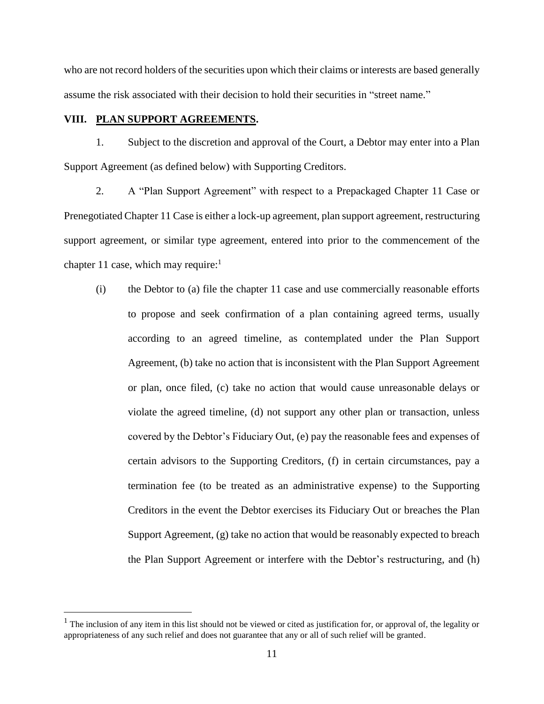who are not record holders of the securities upon which their claims or interests are based generally assume the risk associated with their decision to hold their securities in "street name."

# **VIII. PLAN SUPPORT AGREEMENTS.**

 $\overline{a}$ 

1. Subject to the discretion and approval of the Court, a Debtor may enter into a Plan Support Agreement (as defined below) with Supporting Creditors.

2. A "Plan Support Agreement" with respect to a Prepackaged Chapter 11 Case or Prenegotiated Chapter 11 Case is either a lock-up agreement, plan support agreement, restructuring support agreement, or similar type agreement, entered into prior to the commencement of the chapter 11 case, which may require:<sup>1</sup>

(i) the Debtor to (a) file the chapter 11 case and use commercially reasonable efforts to propose and seek confirmation of a plan containing agreed terms, usually according to an agreed timeline, as contemplated under the Plan Support Agreement, (b) take no action that is inconsistent with the Plan Support Agreement or plan, once filed, (c) take no action that would cause unreasonable delays or violate the agreed timeline, (d) not support any other plan or transaction, unless covered by the Debtor's Fiduciary Out, (e) pay the reasonable fees and expenses of certain advisors to the Supporting Creditors, (f) in certain circumstances, pay a termination fee (to be treated as an administrative expense) to the Supporting Creditors in the event the Debtor exercises its Fiduciary Out or breaches the Plan Support Agreement, (g) take no action that would be reasonably expected to breach the Plan Support Agreement or interfere with the Debtor's restructuring, and (h)

<sup>&</sup>lt;sup>1</sup> The inclusion of any item in this list should not be viewed or cited as justification for, or approval of, the legality or appropriateness of any such relief and does not guarantee that any or all of such relief will be granted.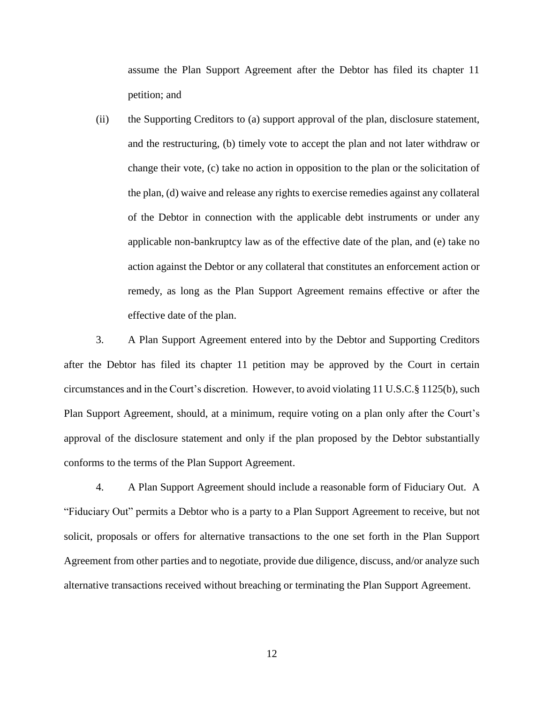assume the Plan Support Agreement after the Debtor has filed its chapter 11 petition; and

(ii) the Supporting Creditors to (a) support approval of the plan, disclosure statement, and the restructuring, (b) timely vote to accept the plan and not later withdraw or change their vote, (c) take no action in opposition to the plan or the solicitation of the plan, (d) waive and release any rights to exercise remedies against any collateral of the Debtor in connection with the applicable debt instruments or under any applicable non-bankruptcy law as of the effective date of the plan, and (e) take no action against the Debtor or any collateral that constitutes an enforcement action or remedy, as long as the Plan Support Agreement remains effective or after the effective date of the plan.

3. A Plan Support Agreement entered into by the Debtor and Supporting Creditors after the Debtor has filed its chapter 11 petition may be approved by the Court in certain circumstances and in the Court's discretion. However, to avoid violating 11 U.S.C.§ 1125(b), such Plan Support Agreement, should, at a minimum, require voting on a plan only after the Court's approval of the disclosure statement and only if the plan proposed by the Debtor substantially conforms to the terms of the Plan Support Agreement.

4. A Plan Support Agreement should include a reasonable form of Fiduciary Out. A "Fiduciary Out" permits a Debtor who is a party to a Plan Support Agreement to receive, but not solicit, proposals or offers for alternative transactions to the one set forth in the Plan Support Agreement from other parties and to negotiate, provide due diligence, discuss, and/or analyze such alternative transactions received without breaching or terminating the Plan Support Agreement.

12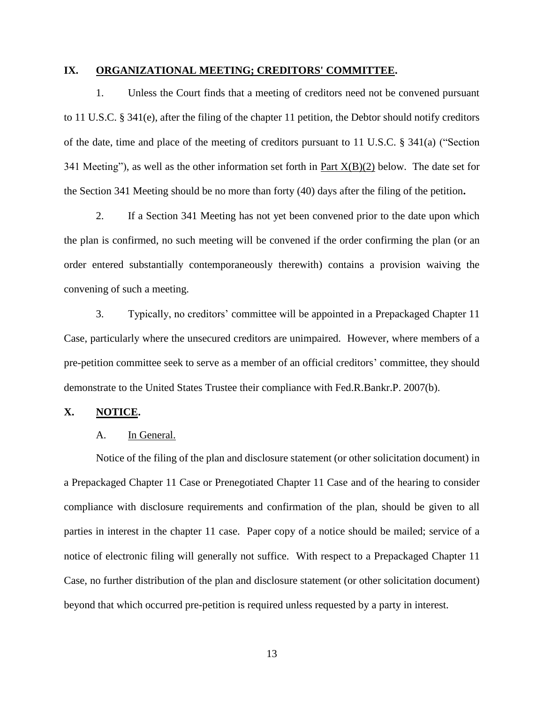## **IX. ORGANIZATIONAL MEETING; CREDITORS' COMMITTEE.**

1. Unless the Court finds that a meeting of creditors need not be convened pursuant to 11 U.S.C. § 341(e), after the filing of the chapter 11 petition, the Debtor should notify creditors of the date, time and place of the meeting of creditors pursuant to 11 U.S.C. § 341(a) ("Section 341 Meeting"), as well as the other information set forth in Part  $X(B)(2)$  below. The date set for the Section 341 Meeting should be no more than forty (40) days after the filing of the petition**.**

2. If a Section 341 Meeting has not yet been convened prior to the date upon which the plan is confirmed, no such meeting will be convened if the order confirming the plan (or an order entered substantially contemporaneously therewith) contains a provision waiving the convening of such a meeting.

3. Typically, no creditors' committee will be appointed in a Prepackaged Chapter 11 Case, particularly where the unsecured creditors are unimpaired. However, where members of a pre-petition committee seek to serve as a member of an official creditors' committee, they should demonstrate to the United States Trustee their compliance with Fed.R.Bankr.P. 2007(b).

## **X. NOTICE.**

## A. In General.

Notice of the filing of the plan and disclosure statement (or other solicitation document) in a Prepackaged Chapter 11 Case or Prenegotiated Chapter 11 Case and of the hearing to consider compliance with disclosure requirements and confirmation of the plan, should be given to all parties in interest in the chapter 11 case. Paper copy of a notice should be mailed; service of a notice of electronic filing will generally not suffice. With respect to a Prepackaged Chapter 11 Case, no further distribution of the plan and disclosure statement (or other solicitation document) beyond that which occurred pre-petition is required unless requested by a party in interest.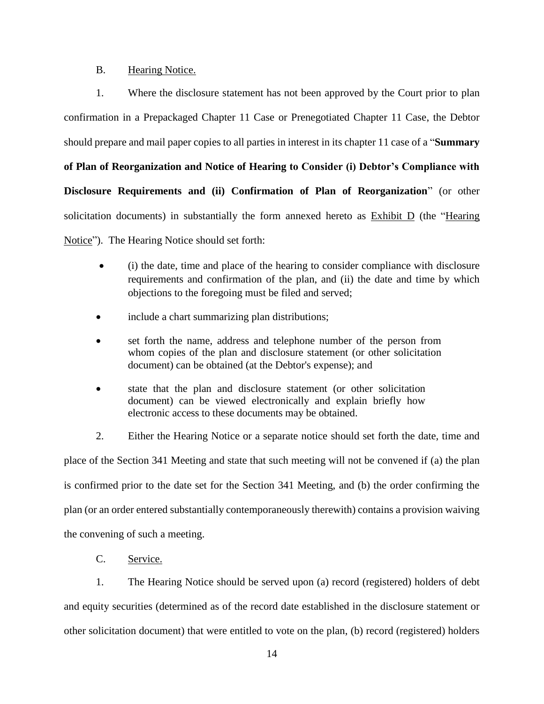## B. Hearing Notice.

1. Where the disclosure statement has not been approved by the Court prior to plan confirmation in a Prepackaged Chapter 11 Case or Prenegotiated Chapter 11 Case, the Debtor should prepare and mail paper copies to all parties in interest in its chapter 11 case of a "**Summary of Plan of Reorganization and Notice of Hearing to Consider (i) Debtor's Compliance with Disclosure Requirements and (ii) Confirmation of Plan of Reorganization**" (or other

solicitation documents) in substantially the form annexed hereto as Exhibit D (the "Hearing

Notice"). The Hearing Notice should set forth:

- (i) the date, time and place of the hearing to consider compliance with disclosure requirements and confirmation of the plan, and (ii) the date and time by which objections to the foregoing must be filed and served;
- include a chart summarizing plan distributions;
- set forth the name, address and telephone number of the person from whom copies of the plan and disclosure statement (or other solicitation document) can be obtained (at the Debtor's expense); and
- state that the plan and disclosure statement (or other solicitation document) can be viewed electronically and explain briefly how electronic access to these documents may be obtained.
- 2. Either the Hearing Notice or a separate notice should set forth the date, time and

place of the Section 341 Meeting and state that such meeting will not be convened if (a) the plan is confirmed prior to the date set for the Section 341 Meeting, and (b) the order confirming the plan (or an order entered substantially contemporaneously therewith) contains a provision waiving the convening of such a meeting.

C. Service.

1. The Hearing Notice should be served upon (a) record (registered) holders of debt and equity securities (determined as of the record date established in the disclosure statement or other solicitation document) that were entitled to vote on the plan, (b) record (registered) holders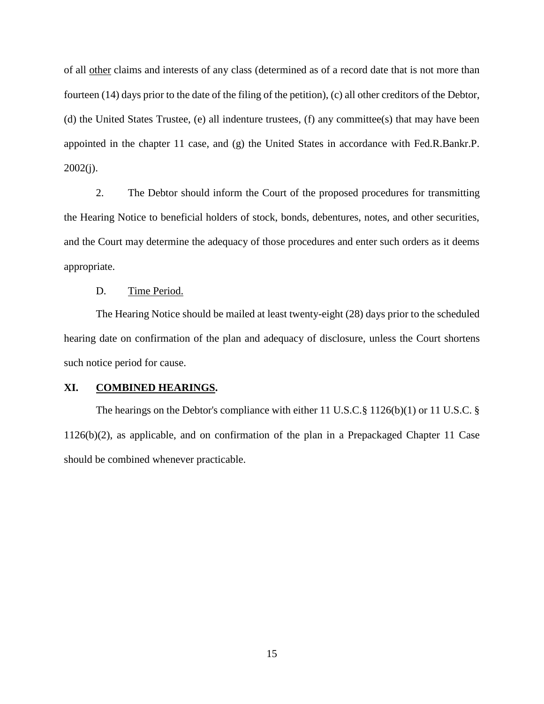of all other claims and interests of any class (determined as of a record date that is not more than fourteen (14) days prior to the date of the filing of the petition), (c) all other creditors of the Debtor, (d) the United States Trustee, (e) all indenture trustees, (f) any committee(s) that may have been appointed in the chapter 11 case, and (g) the United States in accordance with Fed.R.Bankr.P.  $2002(i)$ .

2. The Debtor should inform the Court of the proposed procedures for transmitting the Hearing Notice to beneficial holders of stock, bonds, debentures, notes, and other securities, and the Court may determine the adequacy of those procedures and enter such orders as it deems appropriate.

### D. Time Period.

The Hearing Notice should be mailed at least twenty-eight (28) days prior to the scheduled hearing date on confirmation of the plan and adequacy of disclosure, unless the Court shortens such notice period for cause.

## **XI. COMBINED HEARINGS.**

The hearings on the Debtor's compliance with either 11 U.S.C. § 1126(b)(1) or 11 U.S.C. § 1126(b)(2), as applicable, and on confirmation of the plan in a Prepackaged Chapter 11 Case should be combined whenever practicable.

15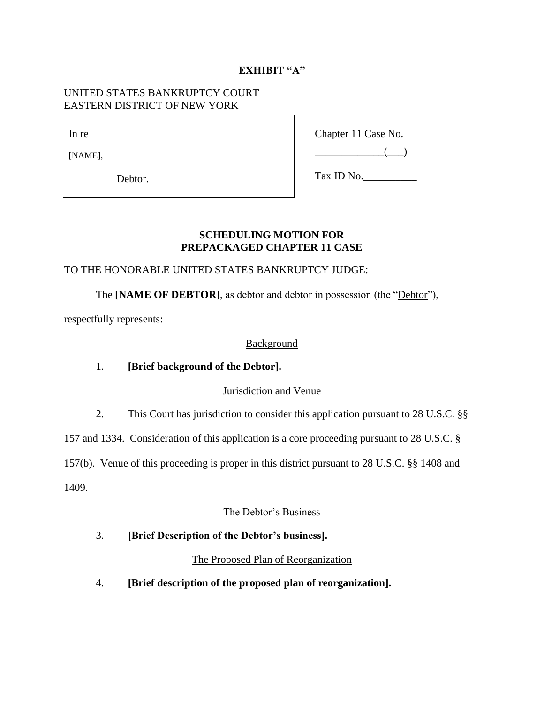## **EXHIBIT "A"**

# UNITED STATES BANKRUPTCY COURT EASTERN DISTRICT OF NEW YORK

In re

[NAME],

Debtor.

Chapter 11 Case No.

 $\qquad \qquad \qquad (-)$ 

Tax ID No.\_\_\_\_\_\_\_\_\_\_

## **SCHEDULING MOTION FOR PREPACKAGED CHAPTER 11 CASE**

# TO THE HONORABLE UNITED STATES BANKRUPTCY JUDGE:

The **[NAME OF DEBTOR]**, as debtor and debtor in possession (the "Debtor"),

respectfully represents:

## Background

# 1. **[Brief background of the Debtor].**

## Jurisdiction and Venue

2. This Court has jurisdiction to consider this application pursuant to 28 U.S.C. §§

157 and 1334. Consideration of this application is a core proceeding pursuant to 28 U.S.C. §

157(b). Venue of this proceeding is proper in this district pursuant to 28 U.S.C. §§ 1408 and

1409.

# The Debtor's Business

3. **[Brief Description of the Debtor's business].**

# The Proposed Plan of Reorganization

4. **[Brief description of the proposed plan of reorganization].**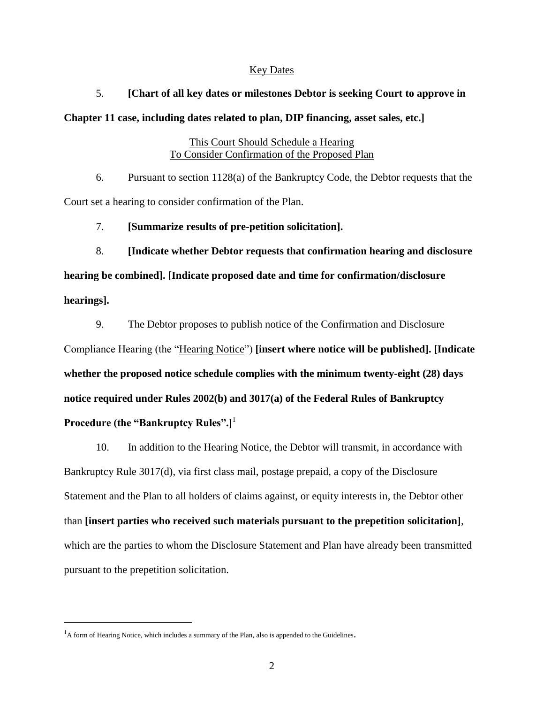## Key Dates

# 5. **[Chart of all key dates or milestones Debtor is seeking Court to approve in**

## **Chapter 11 case, including dates related to plan, DIP financing, asset sales, etc.]**

# This Court Should Schedule a Hearing To Consider Confirmation of the Proposed Plan

6. Pursuant to section 1128(a) of the Bankruptcy Code, the Debtor requests that the Court set a hearing to consider confirmation of the Plan.

7. **[Summarize results of pre-petition solicitation].**

8. **[Indicate whether Debtor requests that confirmation hearing and disclosure hearing be combined]. [Indicate proposed date and time for confirmation/disclosure hearings].**

9. The Debtor proposes to publish notice of the Confirmation and Disclosure Compliance Hearing (the "Hearing Notice") **[insert where notice will be published]. [Indicate whether the proposed notice schedule complies with the minimum twenty-eight (28) days notice required under Rules 2002(b) and 3017(a) of the Federal Rules of Bankruptcy Procedure (the "Bankruptcy Rules".]**<sup>1</sup>

10. In addition to the Hearing Notice, the Debtor will transmit, in accordance with Bankruptcy Rule 3017(d), via first class mail, postage prepaid, a copy of the Disclosure Statement and the Plan to all holders of claims against, or equity interests in, the Debtor other than **[insert parties who received such materials pursuant to the prepetition solicitation]**, which are the parties to whom the Disclosure Statement and Plan have already been transmitted pursuant to the prepetition solicitation.

 $\overline{a}$ 

 $<sup>1</sup>A$  form of Hearing Notice, which includes a summary of the Plan, also is appended to the Guidelines.</sup>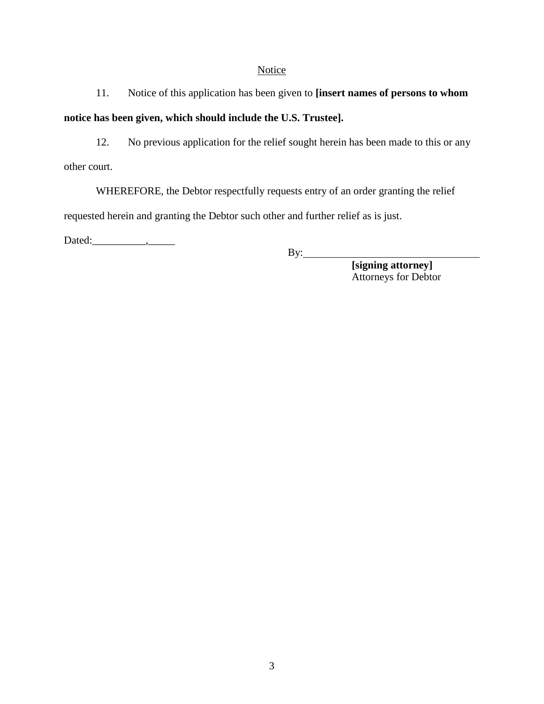## Notice

11. Notice of this application has been given to **[insert names of persons to whom** 

# **notice has been given, which should include the U.S. Trustee].**

12. No previous application for the relief sought herein has been made to this or any other court.

WHEREFORE, the Debtor respectfully requests entry of an order granting the relief

requested herein and granting the Debtor such other and further relief as is just.

Dated:\_\_\_\_\_\_\_\_\_\_,\_\_\_\_\_

 $By:$ 

**[signing attorney]** Attorneys for Debtor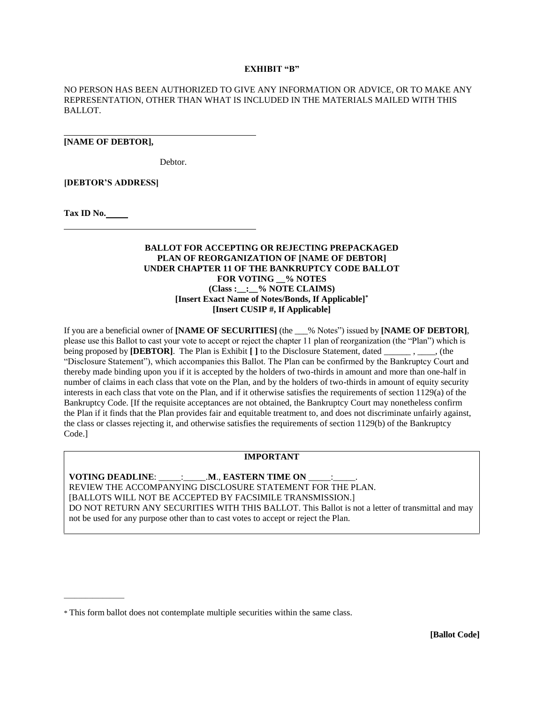#### **EXHIBIT "B"**

NO PERSON HAS BEEN AUTHORIZED TO GIVE ANY INFORMATION OR ADVICE, OR TO MAKE ANY REPRESENTATION, OTHER THAN WHAT IS INCLUDED IN THE MATERIALS MAILED WITH THIS BALLOT.

**[NAME OF DEBTOR],**

Debtor.

**[DEBTOR'S ADDRESS]**

**Tax ID No.**

 $\overline{\phantom{a}}$  , where  $\overline{\phantom{a}}$ 

### **BALLOT FOR ACCEPTING OR REJECTING PREPACKAGED PLAN OF REORGANIZATION OF [NAME OF DEBTOR] UNDER CHAPTER 11 OF THE BANKRUPTCY CODE BALLOT FOR VOTING \_\_% NOTES (Class :\_\_:\_\_% NOTE CLAIMS) [Insert Exact Name of Notes/Bonds, If Applicable]\* [Insert CUSIP #, If Applicable]**

If you are a beneficial owner of **[NAME OF SECURITIES]** (the \_\_\_% Notes") issued by **[NAME OF DEBTOR]**, please use this Ballot to cast your vote to accept or reject the chapter 11 plan of reorganization (the "Plan") which is being proposed by **[DEBTOR]**. The Plan is Exhibit **[ ]** to the Disclosure Statement, dated \_\_\_\_\_\_ , \_\_\_\_, (the "Disclosure Statement"), which accompanies this Ballot. The Plan can be confirmed by the Bankruptcy Court and thereby made binding upon you if it is accepted by the holders of two-thirds in amount and more than one-half in number of claims in each class that vote on the Plan, and by the holders of two-thirds in amount of equity security interests in each class that vote on the Plan, and if it otherwise satisfies the requirements of section 1129(a) of the Bankruptcy Code. [If the requisite acceptances are not obtained, the Bankruptcy Court may nonetheless confirm the Plan if it finds that the Plan provides fair and equitable treatment to, and does not discriminate unfairly against, the class or classes rejecting it, and otherwise satisfies the requirements of section 1129(b) of the Bankruptcy Code.]

### **IMPORTANT**

**VOTING DEADLINE**: \_\_\_\_\_:\_\_\_\_\_.**M**., **EASTERN TIME ON** \_\_\_\_\_:\_\_\_\_\_. REVIEW THE ACCOMPANYING DISCLOSURE STATEMENT FOR THE PLAN. [BALLOTS WILL NOT BE ACCEPTED BY FACSIMILE TRANSMISSION.] DO NOT RETURN ANY SECURITIES WITH THIS BALLOT. This Ballot is not a letter of transmittal and may not be used for any purpose other than to cast votes to accept or reject the Plan.

<sup>\*</sup> This form ballot does not contemplate multiple securities within the same class.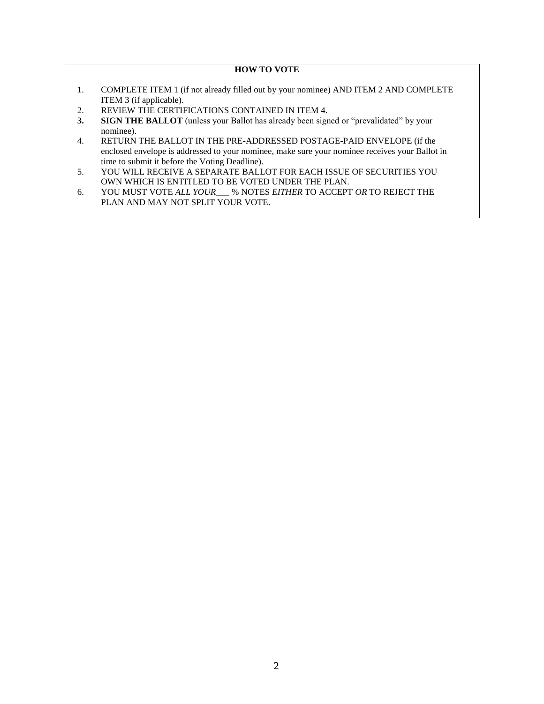## **HOW TO VOTE**

- 1. COMPLETE ITEM 1 (if not already filled out by your nominee) AND ITEM 2 AND COMPLETE ITEM 3 (if applicable).
- 2. REVIEW THE CERTIFICATIONS CONTAINED IN ITEM 4.
- **3. SIGN THE BALLOT** (unless your Ballot has already been signed or "prevalidated" by your nominee).
- 4. RETURN THE BALLOT IN THE PRE-ADDRESSED POSTAGE-PAID ENVELOPE (if the enclosed envelope is addressed to your nominee, make sure your nominee receives your Ballot in time to submit it before the Voting Deadline).
- 5. YOU WILL RECEIVE A SEPARATE BALLOT FOR EACH ISSUE OF SECURITIES YOU OWN WHICH IS ENTITLED TO BE VOTED UNDER THE PLAN.
- 6. YOU MUST VOTE *ALL YOUR\_\_\_* % NOTES *EITHER* TO ACCEPT *OR* TO REJECT THE PLAN AND MAY NOT SPLIT YOUR VOTE.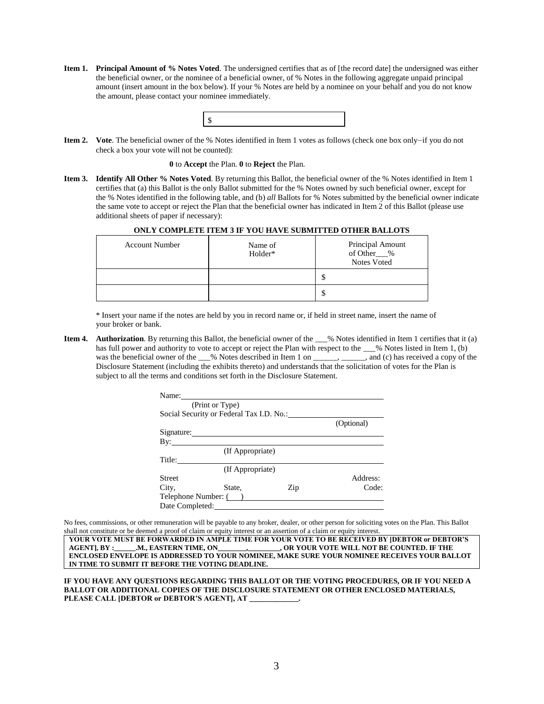**Item 1. Principal Amount of % Notes Voted**. The undersigned certifies that as of [the record date] the undersigned was either the beneficial owner, or the nominee of a beneficial owner, of % Notes in the following aggregate unpaid principal amount (insert amount in the box below). If your % Notes are held by a nominee on your behalf and you do not know the amount, please contact your nominee immediately.

|--|

**Item 2. Vote**. The beneficial owner of the % Notes identified in Item 1 votes as follows (check one box only—if you do not check a box your vote will not be counted):

#### **0** to **Accept** the Plan. **0** to **Reject** the Plan.

**Item 3. Identify All Other % Notes Voted**. By returning this Ballot, the beneficial owner of the % Notes identified in Item 1 certifies that (a) this Ballot is the only Ballot submitted for the % Notes owned by such beneficial owner, except for the % Notes identified in the following table, and (b) *all* Ballots for % Notes submitted by the beneficial owner indicate the same vote to accept or reject the Plan that the beneficial owner has indicated in Item 2 of this Ballot (please use additional sheets of paper if necessary):

| <b>Account Number</b> | Name of<br>Holder* | Principal Amount<br>of Other__%<br><b>Notes Voted</b> |
|-----------------------|--------------------|-------------------------------------------------------|
|                       |                    | Φ                                                     |
|                       |                    |                                                       |

#### **ONLY COMPLETE ITEM 3 IF YOU HAVE SUBMITTED OTHER BALLOTS**

\* Insert your name if the notes are held by you in record name or, if held in street name, insert the name of your broker or bank.

**Item 4. Authorization**. By returning this Ballot, the beneficial owner of the \_\_\_% Notes identified in Item 1 certifies that it (a) has full power and authority to vote to accept or reject the Plan with respect to the \_\_\_% Notes listed in Item 1, (b) was the beneficial owner of the \_\_\_% Notes described in Item 1 on \_\_\_\_\_\_\_, \_\_\_\_\_\_, and (c) has received was the beneficial owner of the  $\_\_\%$  Notes described in Item 1 on  $\_\_\_\_\,,\_\_\_\_\$ Disclosure Statement (including the exhibits thereto) and understands that the solicitation of votes for the Plan is subject to all the terms and conditions set forth in the Disclosure Statement.

| Name:           |                                          |     |            |
|-----------------|------------------------------------------|-----|------------|
|                 | (Print or Type)                          |     |            |
|                 | Social Security or Federal Tax I.D. No.: |     |            |
|                 |                                          |     | (Optional) |
|                 | Signature:                               |     |            |
| $\mathbf{By:}$  |                                          |     |            |
|                 | (If Appropriate)                         |     |            |
| Title:          |                                          |     |            |
|                 | (If Appropriate)                         |     |            |
| <b>Street</b>   |                                          |     | Address:   |
| City,           | State.                                   | Zip | Code:      |
|                 | Telephone Number: ()                     |     |            |
| Date Completed: |                                          |     |            |

No fees, commissions, or other remuneration will be payable to any broker, dealer, or other person for soliciting votes on the Plan. This Ballot shall not constitute or be deemed a proof of claim or equity interest or an assertion of a claim or equity interest.

**YOUR VOTE MUST BE FORWARDED IN AMPLE TIME FOR YOUR VOTE TO BE RECEIVED BY [DEBTOR or DEBTOR'S**  , OR YOUR VOTE WILL NOT BE COUNTED. IF THE **ENCLOSED ENVELOPE IS ADDRESSED TO YOUR NOMINEE, MAKE SURE YOUR NOMINEE RECEIVES YOUR BALLOT IN TIME TO SUBMIT IT BEFORE THE VOTING DEADLINE.**

**IF YOU HAVE ANY QUESTIONS REGARDING THIS BALLOT OR THE VOTING PROCEDURES, OR IF YOU NEED A BALLOT OR ADDITIONAL COPIES OF THE DISCLOSURE STATEMENT OR OTHER ENCLOSED MATERIALS,** PLEASE CALL [DEBTOR or DEBTOR'S AGENT], AT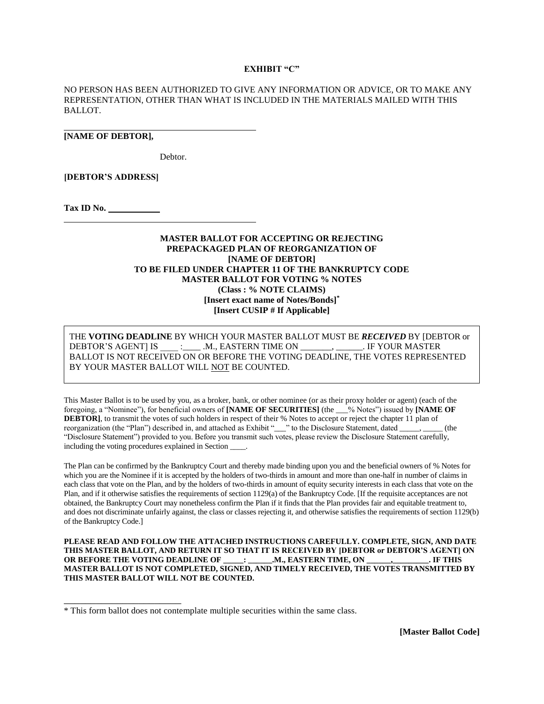#### **EXHIBIT "C"**

NO PERSON HAS BEEN AUTHORIZED TO GIVE ANY INFORMATION OR ADVICE, OR TO MAKE ANY REPRESENTATION, OTHER THAN WHAT IS INCLUDED IN THE MATERIALS MAILED WITH THIS BALLOT.

**[NAME OF DEBTOR],**

Debtor.

#### **[DEBTOR'S ADDRESS]**

**Tax ID No.**

### **MASTER BALLOT FOR ACCEPTING OR REJECTING PREPACKAGED PLAN OF REORGANIZATION OF [NAME OF DEBTOR] TO BE FILED UNDER CHAPTER 11 OF THE BANKRUPTCY CODE MASTER BALLOT FOR VOTING % NOTES (Class : % NOTE CLAIMS) [Insert exact name of Notes/Bonds]\* [Insert CUSIP # If Applicable]**

THE **VOTING DEADLINE** BY WHICH YOUR MASTER BALLOT MUST BE *RECEIVED* BY [DEBTOR or DEBTOR'S AGENT] IS  $\qquad := \dots M$ ., EASTERN TIME ON  $\qquad \qquad ...$ . IF YOUR MASTER BALLOT IS NOT RECEIVED ON OR BEFORE THE VOTING DEADLINE, THE VOTES REPRESENTED BY YOUR MASTER BALLOT WILL NOT BE COUNTED.

This Master Ballot is to be used by you, as a broker, bank, or other nominee (or as their proxy holder or agent) (each of the foregoing, a "Nominee"), for beneficial owners of **[NAME OF SECURITIES]** (the \_\_\_% Notes") issued by **[NAME OF DEBTOR**], to transmit the votes of such holders in respect of their % Notes to accept or reject the chapter 11 plan of reorganization (the "Plan") described in, and attached as Exhibit "\_\_\_" to the Disclosure Statement, dated \_\_\_\_, \_\_\_\_ (the "Disclosure Statement") provided to you. Before you transmit such votes, please review the Disclosure Statement carefully, including the voting procedures explained in Section  $\qquad$ .

The Plan can be confirmed by the Bankruptcy Court and thereby made binding upon you and the beneficial owners of % Notes for which you are the Nominee if it is accepted by the holders of two-thirds in amount and more than one-half in number of claims in each class that vote on the Plan, and by the holders of two-thirds in amount of equity security interests in each class that vote on the Plan, and if it otherwise satisfies the requirements of section 1129(a) of the Bankruptcy Code. [If the requisite acceptances are not obtained, the Bankruptcy Court may nonetheless confirm the Plan if it finds that the Plan provides fair and equitable treatment to, and does not discriminate unfairly against, the class or classes rejecting it, and otherwise satisfies the requirements of section 1129(b) of the Bankruptcy Code.]

**PLEASE READ AND FOLLOW THE ATTACHED INSTRUCTIONS CAREFULLY. COMPLETE, SIGN, AND DATE THIS MASTER BALLOT, AND RETURN IT SO THAT IT IS RECEIVED BY [DEBTOR or DEBTOR'S AGENT] ON OR BEFORE THE VOTING DEADLINE OF \_\_\_\_\_: \_\_\_\_\_\_.M., EASTERN TIME, ON \_\_\_\_\_\_,\_\_\_\_\_\_\_\_\_. IF THIS MASTER BALLOT IS NOT COMPLETED, SIGNED, AND TIMELY RECEIVED, THE VOTES TRANSMITTED BY THIS MASTER BALLOT WILL NOT BE COUNTED.**

\_\_\_\_\_\_\_\_\_\_\_\_\_\_\_\_\_\_\_\_\_\_

<sup>\*</sup> This form ballot does not contemplate multiple securities within the same class.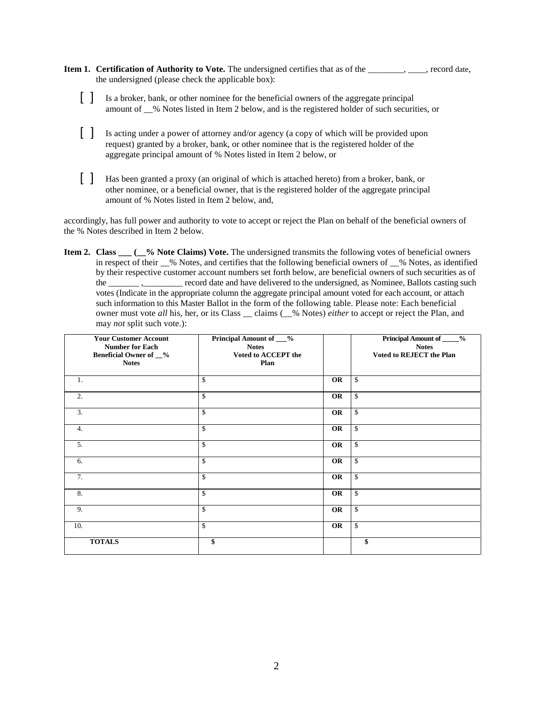| <b>Item 1. Certification of Authority to Vote.</b> The undersigned certifies that as of the | , record date, |
|---------------------------------------------------------------------------------------------|----------------|
| the undersigned (please check the applicable box):                                          |                |

- [ ] Is a broker, bank, or other nominee for the beneficial owners of the aggregate principal amount of \_\_% Notes listed in Item 2 below, and is the registered holder of such securities, or
- [ ] Is acting under a power of attorney and/or agency (a copy of which will be provided upon request) granted by a broker, bank, or other nominee that is the registered holder of the aggregate principal amount of % Notes listed in Item 2 below, or
- [ ] Has been granted a proxy (an original of which is attached hereto) from a broker, bank, or other nominee, or a beneficial owner, that is the registered holder of the aggregate principal amount of % Notes listed in Item 2 below, and,

accordingly, has full power and authority to vote to accept or reject the Plan on behalf of the beneficial owners of the % Notes described in Item 2 below.

**Item 2. Class \_\_\_ (\_\_% Note Claims) Vote.** The undersigned transmits the following votes of beneficial owners in respect of their  $\%$  Notes, and certifies that the following beneficial owners of  $\%$  Notes, as identified by their respective customer account numbers set forth below, are beneficial owners of such securities as of the \_\_\_\_\_\_\_\_ , \_\_\_\_\_\_ record date and have delivered to the undersigned, as Nominee, Ballots casting such votes (Indicate in the appropriate column the aggregate principal amount voted for each account, or attach such information to this Master Ballot in the form of the following table. Please note: Each beneficial owner must vote *all* his, her, or its Class \_\_ claims (\_\_% Notes) *either* to accept or reject the Plan, and may *not* split such vote.):

| <b>Your Customer Account</b><br><b>Number for Each</b><br><b>Beneficial Owner of _%</b> | Principal Amount of __%<br><b>Notes</b><br>Voted to ACCEPT the |           | Principal Amount of ____%<br><b>Notes</b><br>Voted to REJECT the Plan |
|-----------------------------------------------------------------------------------------|----------------------------------------------------------------|-----------|-----------------------------------------------------------------------|
| <b>Notes</b>                                                                            | Plan                                                           |           |                                                                       |
| 1.                                                                                      | \$                                                             | OR        | $\mathbb{S}$                                                          |
| 2.                                                                                      | \$                                                             | <b>OR</b> | \$                                                                    |
| $\overline{3}$ .                                                                        | \$                                                             | <b>OR</b> | \$                                                                    |
| $\overline{4}$ .                                                                        | \$                                                             | <b>OR</b> | \$                                                                    |
| 5.                                                                                      | \$                                                             | <b>OR</b> | $\mathbb{S}$                                                          |
| 6.                                                                                      | \$                                                             | OR        | $\mathbb{S}$                                                          |
| 7.                                                                                      | \$                                                             | <b>OR</b> | \$                                                                    |
| 8.                                                                                      | \$                                                             | <b>OR</b> | \$                                                                    |
| 9.                                                                                      | \$                                                             | <b>OR</b> | \$                                                                    |
| 10.                                                                                     | \$                                                             | OR        | \$                                                                    |
| <b>TOTALS</b>                                                                           | \$                                                             |           | \$                                                                    |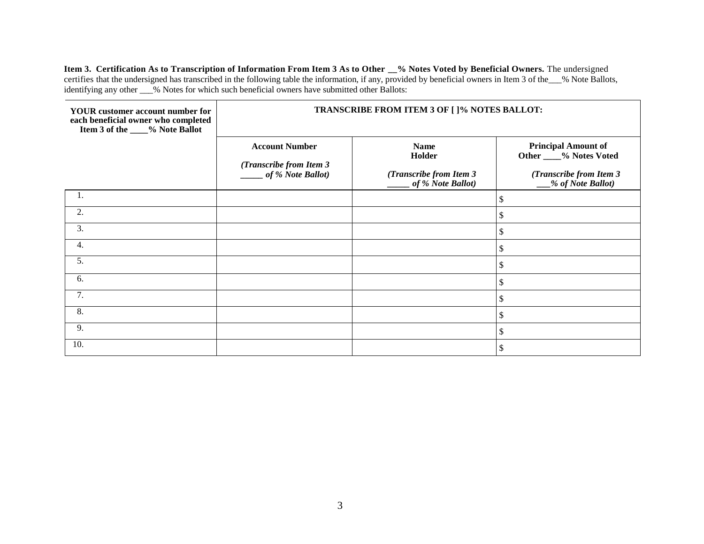**Item 3. Certification As to Transcription of Information From Item 3 As to Other \_\_% Notes Voted by Beneficial Owners.** The undersigned certifies that the undersigned has transcribed in the following table the information, if any, provided by beneficial owners in Item 3 of the\_\_\_% Note Ballots, identifying any other \_\_\_% Notes for which such beneficial owners have submitted other Ballots:

| <b>YOUR</b> customer account number for<br>each beneficial owner who completed<br>Item 3 of the ___% Note Ballot | TRANSCRIBE FROM ITEM 3 OF [ ]% NOTES BALLOT:                          |                                                                       |                                                                                                                  |
|------------------------------------------------------------------------------------------------------------------|-----------------------------------------------------------------------|-----------------------------------------------------------------------|------------------------------------------------------------------------------------------------------------------|
|                                                                                                                  | <b>Account Number</b><br>(Transcribe from Item 3<br>of % Note Ballot) | <b>Name</b><br>Holder<br>(Transcribe from Item 3<br>of % Note Ballot) | <b>Principal Amount of</b><br>Other ___% Notes Voted<br>(Transcribe from Item 3<br>$\frac{1}{2}$ of Note Ballot) |
| 1.                                                                                                               |                                                                       |                                                                       | <sup>\$</sup>                                                                                                    |
| 2.                                                                                                               |                                                                       |                                                                       | <sup>\$</sup>                                                                                                    |
| 3.                                                                                                               |                                                                       |                                                                       | \$                                                                                                               |
| 4.                                                                                                               |                                                                       |                                                                       |                                                                                                                  |
| 5.                                                                                                               |                                                                       |                                                                       | \$                                                                                                               |
| 6.                                                                                                               |                                                                       |                                                                       |                                                                                                                  |
| 7.                                                                                                               |                                                                       |                                                                       | $\mathcal{S}$                                                                                                    |
| 8.                                                                                                               |                                                                       |                                                                       |                                                                                                                  |
| 9.                                                                                                               |                                                                       |                                                                       | <sup>\$</sup>                                                                                                    |
| 10.                                                                                                              |                                                                       |                                                                       |                                                                                                                  |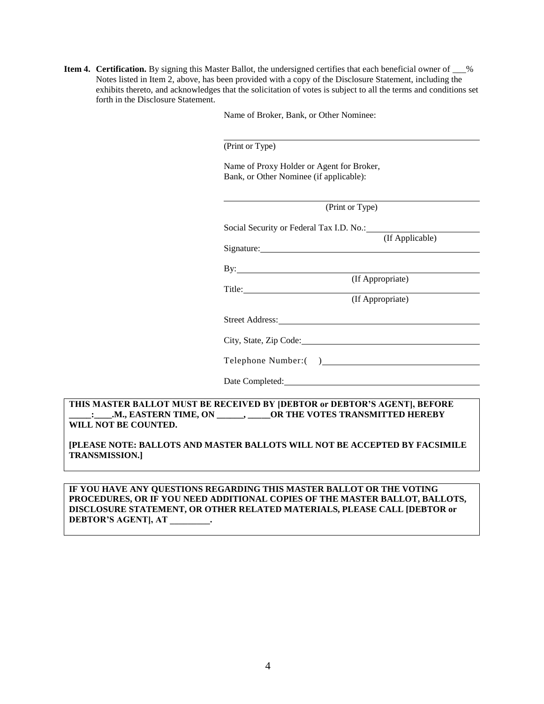**Item 4. Certification.** By signing this Master Ballot, the undersigned certifies that each beneficial owner of \_\_\_% Notes listed in Item 2, above, has been provided with a copy of the Disclosure Statement, including the exhibits thereto, and acknowledges that the solicitation of votes is subject to all the terms and conditions set forth in the Disclosure Statement.

Name of Broker, Bank, or Other Nominee:

(Print or Type)

Name of Proxy Holder or Agent for Broker, Bank, or Other Nominee (if applicable):

|                       | (Print or Type)                                                                                                                                                                                                                |
|-----------------------|--------------------------------------------------------------------------------------------------------------------------------------------------------------------------------------------------------------------------------|
|                       | Social Security or Federal Tax I.D. No.:                                                                                                                                                                                       |
|                       | (If Applicable)                                                                                                                                                                                                                |
|                       |                                                                                                                                                                                                                                |
| $\mathbf{By:}\square$ |                                                                                                                                                                                                                                |
|                       | (If Appropriate)                                                                                                                                                                                                               |
|                       | (If Appropriate)                                                                                                                                                                                                               |
| Street Address:       |                                                                                                                                                                                                                                |
|                       | City, State, Zip Code:                                                                                                                                                                                                         |
|                       |                                                                                                                                                                                                                                |
|                       | Date Completed: National Complete Complete Complete Complete Complete Complete Complete Complete Complete Complete Complete Complete Complete Complete Complete Complete Complete Complete Complete Complete Complete Complete |
|                       |                                                                                                                                                                                                                                |

**THIS MASTER BALLOT MUS \_\_\_\_\_:\_\_\_\_.M., EASTERN TIME, ON \_\_\_\_\_\_, \_\_\_\_\_OR THE VOTES TRANSMITTED HEREBY WILL NOT BE COUNTED.**

**[PLEASE NOTE: BALLOTS AND MASTER BALLOTS WILL NOT BE ACCEPTED BY FACSIMILE TRANSMISSION.]**

**IF YOU HAVE ANY QUESTIONS REGARDING THIS MASTER BALLOT OR THE VOTING PROCEDURES, OR IF YOU NEED ADDITIONAL COPIES OF THE MASTER BALLOT, BALLOTS, DISCLOSURE STATEMENT, OR OTHER RELATED MATERIALS, PLEASE CALL [DEBTOR or DEBTOR'S AGENT], AT \_\_\_\_\_\_\_\_\_.**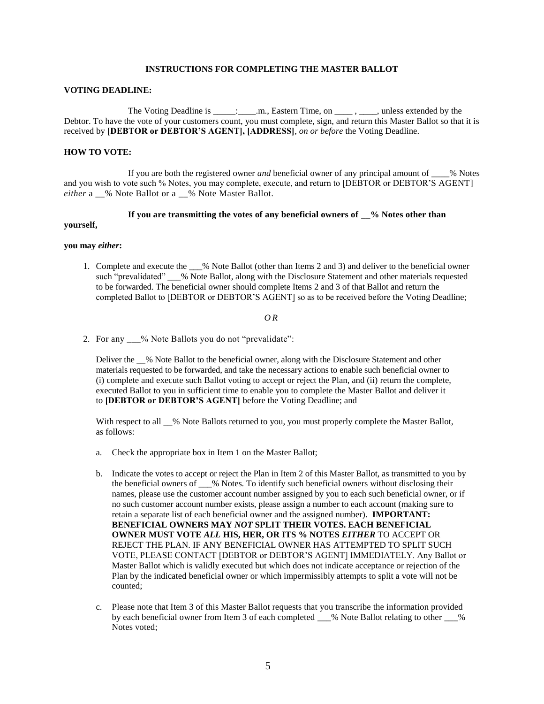### **INSTRUCTIONS FOR COMPLETING THE MASTER BALLOT**

### **VOTING DEADLINE:**

The Voting Deadline is \_\_\_\_\_: \_\_\_\_.m., Eastern Time, on \_\_\_\_\_, \_\_\_\_, unless extended by the Debtor. To have the vote of your customers count, you must complete, sign, and return this Master Ballot so that it is received by **[DEBTOR or DEBTOR'S AGENT], [ADDRESS]**, *on or before* the Voting Deadline.

#### **HOW TO VOTE:**

If you are both the registered owner *and* beneficial owner of any principal amount of \_\_\_\_% Notes and you wish to vote such % Notes, you may complete, execute, and return to [DEBTOR or DEBTOR'S AGENT] *either* a \_\_% Note Ballot or a \_\_% Note Master Ballot.

**If you are transmitting the votes of any beneficial owners of \_\_% Notes other than** 

### **yourself,**

#### **you may** *either***:**

1. Complete and execute the  $\%$  Note Ballot (other than Items 2 and 3) and deliver to the beneficial owner such "prevalidated" \_\_\_% Note Ballot, along with the Disclosure Statement and other materials requested to be forwarded. The beneficial owner should complete Items 2 and 3 of that Ballot and return the completed Ballot to [DEBTOR or DEBTOR'S AGENT] so as to be received before the Voting Deadline;

### *O R*

2. For any \_\_\_% Note Ballots you do not "prevalidate":

Deliver the % Note Ballot to the beneficial owner, along with the Disclosure Statement and other materials requested to be forwarded, and take the necessary actions to enable such beneficial owner to (i) complete and execute such Ballot voting to accept or reject the Plan, and (ii) return the complete, executed Ballot to you in sufficient time to enable you to complete the Master Ballot and deliver it to **[DEBTOR or DEBTOR'S AGENT]** before the Voting Deadline; and

With respect to all  $\_\%$  Note Ballots returned to you, you must properly complete the Master Ballot, as follows:

- a. Check the appropriate box in Item 1 on the Master Ballot;
- b. Indicate the votes to accept or reject the Plan in Item 2 of this Master Ballot, as transmitted to you by the beneficial owners of \_\_\_% Notes. To identify such beneficial owners without disclosing their names, please use the customer account number assigned by you to each such beneficial owner, or if no such customer account number exists, please assign a number to each account (making sure to retain a separate list of each beneficial owner and the assigned number). **IMPORTANT: BENEFICIAL OWNERS MAY** *NOT* **SPLIT THEIR VOTES. EACH BENEFICIAL OWNER MUST VOTE** *ALL* **HIS, HER, OR ITS % NOTES** *EITHER* TO ACCEPT OR REJECT THE PLAN. IF ANY BENEFICIAL OWNER HAS ATTEMPTED TO SPLIT SUCH VOTE, PLEASE CONTACT [DEBTOR or DEBTOR'S AGENT] IMMEDIATELY. Any Ballot or Master Ballot which is validly executed but which does not indicate acceptance or rejection of the Plan by the indicated beneficial owner or which impermissibly attempts to split a vote will not be counted;
- c. Please note that Item 3 of this Master Ballot requests that you transcribe the information provided by each beneficial owner from Item 3 of each completed  $\%$  Note Ballot relating to other  $\%$ Notes voted;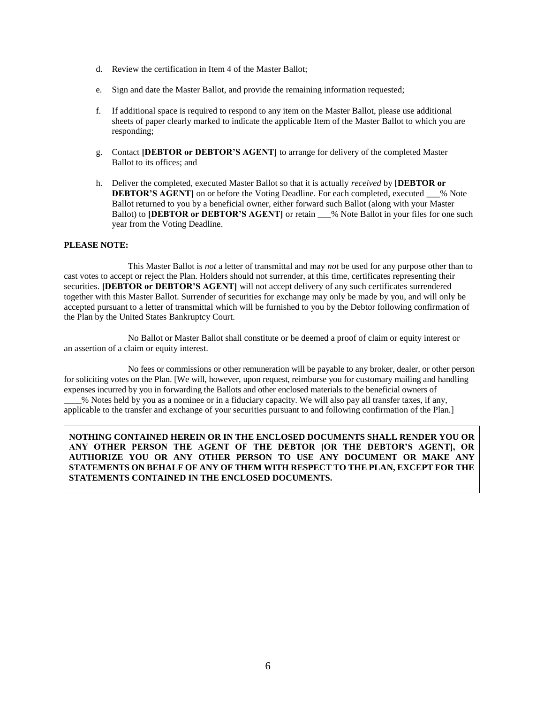- d. Review the certification in Item 4 of the Master Ballot;
- e. Sign and date the Master Ballot, and provide the remaining information requested;
- f. If additional space is required to respond to any item on the Master Ballot, please use additional sheets of paper clearly marked to indicate the applicable Item of the Master Ballot to which you are responding;
- g. Contact **[DEBTOR or DEBTOR'S AGENT]** to arrange for delivery of the completed Master Ballot to its offices; and
- h. Deliver the completed, executed Master Ballot so that it is actually *received* by **[DEBTOR or DEBTOR'S AGENT** on or before the Voting Deadline. For each completed, executed \_\_\_% Note Ballot returned to you by a beneficial owner, either forward such Ballot (along with your Master Ballot) to **[DEBTOR or DEBTOR'S AGENT]** or retain \_\_\_% Note Ballot in your files for one such year from the Voting Deadline.

### **PLEASE NOTE:**

This Master Ballot is *not* a letter of transmittal and may *not* be used for any purpose other than to cast votes to accept or reject the Plan. Holders should not surrender, at this time, certificates representing their securities. **[DEBTOR or DEBTOR'S AGENT]** will not accept delivery of any such certificates surrendered together with this Master Ballot. Surrender of securities for exchange may only be made by you, and will only be accepted pursuant to a letter of transmittal which will be furnished to you by the Debtor following confirmation of the Plan by the United States Bankruptcy Court.

No Ballot or Master Ballot shall constitute or be deemed a proof of claim or equity interest or an assertion of a claim or equity interest.

No fees or commissions or other remuneration will be payable to any broker, dealer, or other person for soliciting votes on the Plan. [We will, however, upon request, reimburse you for customary mailing and handling expenses incurred by you in forwarding the Ballots and other enclosed materials to the beneficial owners of

\_\_\_\_% Notes held by you as a nominee or in a fiduciary capacity. We will also pay all transfer taxes, if any, applicable to the transfer and exchange of your securities pursuant to and following confirmation of the Plan.]

**NOTHING CONTAINED HEREIN OR IN THE ENCLOSED DOCUMENTS SHALL RENDER YOU OR ANY OTHER PERSON THE AGENT OF THE DEBTOR [OR THE DEBTOR'S AGENT], OR AUTHORIZE YOU OR ANY OTHER PERSON TO USE ANY DOCUMENT OR MAKE ANY STATEMENTS ON BEHALF OF ANY OF THEM WITH RESPECT TO THE PLAN, EXCEPT FOR THE STATEMENTS CONTAINED IN THE ENCLOSED DOCUMENTS.**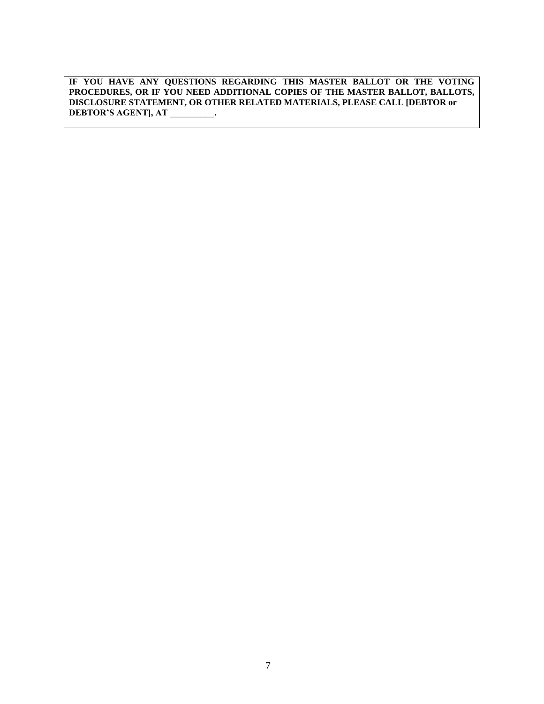**IF YOU HAVE ANY QUESTIONS REGARDING THIS MASTER BALLOT OR THE VOTING PROCEDURES, OR IF YOU NEED ADDITIONAL COPIES OF THE MASTER BALLOT, BALLOTS, DISCLOSURE STATEMENT, OR OTHER RELATED MATERIALS, PLEASE CALL [DEBTOR or DEBTOR'S AGENT], AT \_\_\_\_\_\_\_\_\_\_.**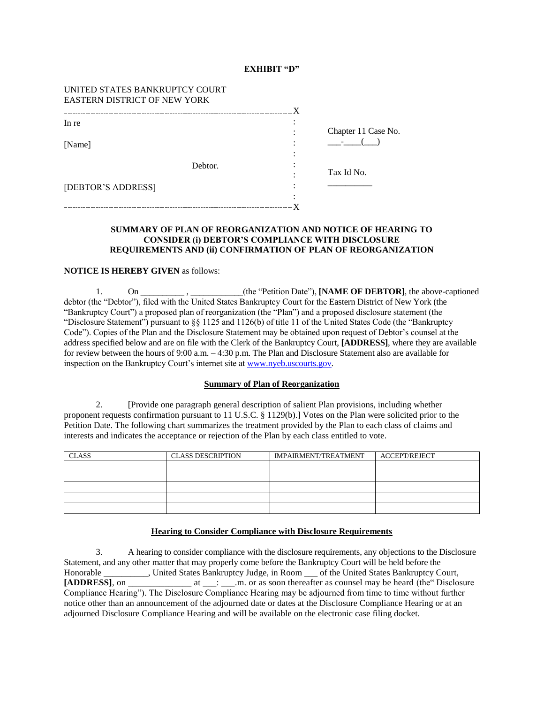### **EXHIBIT "D"**

| UNITED STATES BANKRUPTCY COURT<br><b>EASTERN DISTRICT OF NEW YORK</b> |         |   |                     |
|-----------------------------------------------------------------------|---------|---|---------------------|
|                                                                       |         | X |                     |
| In re                                                                 |         |   |                     |
|                                                                       |         |   | Chapter 11 Case No. |
| [Name]                                                                |         | ٠ |                     |
|                                                                       |         |   |                     |
|                                                                       | Debtor. |   |                     |
|                                                                       |         |   | Tax Id No.          |
| [DEBTOR'S ADDRESS]                                                    |         |   |                     |
|                                                                       |         | ٠ |                     |
|                                                                       |         |   |                     |

### **SUMMARY OF PLAN OF REORGANIZATION AND NOTICE OF HEARING TO CONSIDER (i) DEBTOR'S COMPLIANCE WITH DISCLOSURE REQUIREMENTS AND (ii) CONFIRMATION OF PLAN OF REORGANIZATION**

### **NOTICE IS HEREBY GIVEN** as follows:

1. On \_\_\_\_\_\_\_\_\_\_\_\_, \_\_\_\_\_\_\_\_\_\_(the "Petition Date"), [NAME OF DEBTOR], the above-captioned debtor (the "Debtor"), filed with the United States Bankruptcy Court for the Eastern District of New York (the "Bankruptcy Court") a proposed plan of reorganization (the "Plan") and a proposed disclosure statement (the "Disclosure Statement") pursuant to §§ 1125 and 1126(b) of title 11 of the United States Code (the "Bankruptcy Code"). Copies of the Plan and the Disclosure Statement may be obtained upon request of Debtor's counsel at the address specified below and are on file with the Clerk of the Bankruptcy Court, **[ADDRESS]**, where they are available for review between the hours of 9:00 a.m. – 4:30 p.m. The Plan and Disclosure Statement also are available for inspection on the Bankruptcy Court's internet site at [www.nyeb.uscourts.gov.](http://www.nyeb.uscourts.gov/)

#### **Summary of Plan of Reorganization**

2. [Provide one paragraph general description of salient Plan provisions, including whether proponent requests confirmation pursuant to 11 U.S.C. § 1129(b).] Votes on the Plan were solicited prior to the Petition Date. The following chart summarizes the treatment provided by the Plan to each class of claims and interests and indicates the acceptance or rejection of the Plan by each class entitled to vote.

| <b>CLASS</b> | <b>CLASS DESCRIPTION</b> | IMPAIRMENT/TREATMENT | <b>ACCEPT/REJECT</b> |
|--------------|--------------------------|----------------------|----------------------|
|              |                          |                      |                      |
|              |                          |                      |                      |
|              |                          |                      |                      |
|              |                          |                      |                      |
|              |                          |                      |                      |

#### **Hearing to Consider Compliance with Disclosure Requirements**

3. A hearing to consider compliance with the disclosure requirements, any objections to the Disclosure Statement, and any other matter that may properly come before the Bankruptcy Court will be held before the Honorable \_\_\_\_\_\_\_\_\_\_, United States Bankruptcy Judge, in Room \_\_\_ of the United States Bankruptcy Court, **[ADDRESS]**, on \_\_\_\_\_\_\_\_\_\_\_\_\_\_ at \_\_\_: \_\_\_.m. or as soon thereafter as counsel may be heard (the" Disclosure Compliance Hearing"). The Disclosure Compliance Hearing may be adjourned from time to time without further notice other than an announcement of the adjourned date or dates at the Disclosure Compliance Hearing or at an adjourned Disclosure Compliance Hearing and will be available on the electronic case filing docket.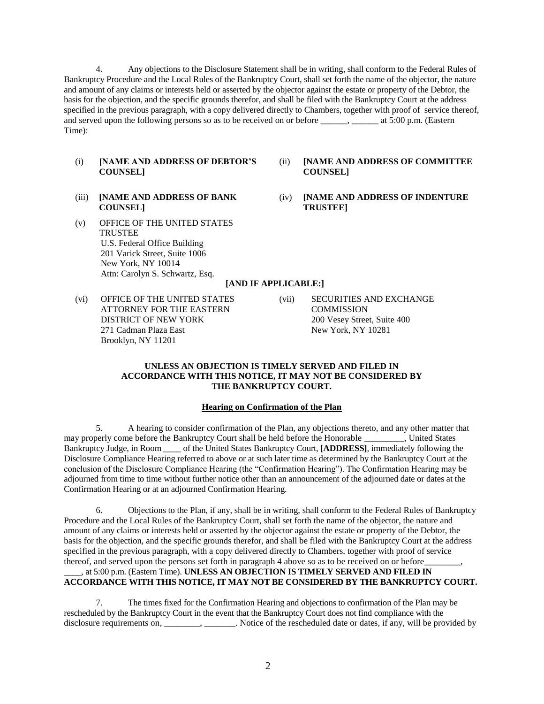4. Any objections to the Disclosure Statement shall be in writing, shall conform to the Federal Rules of Bankruptcy Procedure and the Local Rules of the Bankruptcy Court, shall set forth the name of the objector, the nature and amount of any claims or interests held or asserted by the objector against the estate or property of the Debtor, the basis for the objection, and the specific grounds therefor, and shall be filed with the Bankruptcy Court at the address specified in the previous paragraph, with a copy delivered directly to Chambers, together with proof of service thereof, and served upon the following persons so as to be received on or before \_\_\_\_\_, \_\_\_\_\_\_ at 5:00 p.m. (Eastern Time):

### (i) **[NAME AND ADDRESS OF DEBTOR'S COUNSEL]**

- (iii) **[NAME AND ADDRESS OF BANK COUNSEL]**
- (v) OFFICE OF THE UNITED STATES **TRUSTEE** U.S. Federal Office Building 201 Varick Street, Suite 1006 New York, NY 10014 Attn: Carolyn S. Schwartz, Esq.
- (ii) **[NAME AND ADDRESS OF COMMITTEE COUNSEL]**
- (iv) **[NAME AND ADDRESS OF INDENTURE TRUSTEE]**

### **[AND IF APPLICABLE:]**

(vi) OFFICE OF THE UNITED STATES ATTORNEY FOR THE EASTERN DISTRICT OF NEW YORK 271 Cadman Plaza East Brooklyn, NY 11201

(vii) SECURITIES AND EXCHANGE **COMMISSION** 200 Vesey Street, Suite 400 New York, NY 10281

### **UNLESS AN OBJECTION IS TIMELY SERVED AND FILED IN ACCORDANCE WITH THIS NOTICE, IT MAY NOT BE CONSIDERED BY THE BANKRUPTCY COURT.**

### **Hearing on Confirmation of the Plan**

5. A hearing to consider confirmation of the Plan, any objections thereto, and any other matter that may properly come before the Bankruptcy Court shall be held before the Honorable \_\_\_\_\_\_\_\_\_, United States Bankruptcy Judge, in Room \_\_\_\_ of the United States Bankruptcy Court, **[ADDRESS]**, immediately following the Disclosure Compliance Hearing referred to above or at such later time as determined by the Bankruptcy Court at the conclusion of the Disclosure Compliance Hearing (the "Confirmation Hearing"). The Confirmation Hearing may be adjourned from time to time without further notice other than an announcement of the adjourned date or dates at the Confirmation Hearing or at an adjourned Confirmation Hearing.

6. Objections to the Plan, if any, shall be in writing, shall conform to the Federal Rules of Bankruptcy Procedure and the Local Rules of the Bankruptcy Court, shall set forth the name of the objector, the nature and amount of any claims or interests held or asserted by the objector against the estate or property of the Debtor, the basis for the objection, and the specific grounds therefor, and shall be filed with the Bankruptcy Court at the address specified in the previous paragraph, with a copy delivered directly to Chambers, together with proof of service thereof, and served upon the persons set forth in paragraph 4 above so as to be received on or before

## \_\_\_\_, at 5:00 p.m. (Eastern Time). **UNLESS AN OBJECTION IS TIMELY SERVED AND FILED IN ACCORDANCE WITH THIS NOTICE, IT MAY NOT BE CONSIDERED BY THE BANKRUPTCY COURT.**

7. The times fixed for the Confirmation Hearing and objections to confirmation of the Plan may be rescheduled by the Bankruptcy Court in the event that the Bankruptcy Court does not find compliance with the disclosure requirements on, \_\_\_\_\_\_\_, \_\_\_\_\_\_\_. Notice of the rescheduled date or dates, if any, will be provided by